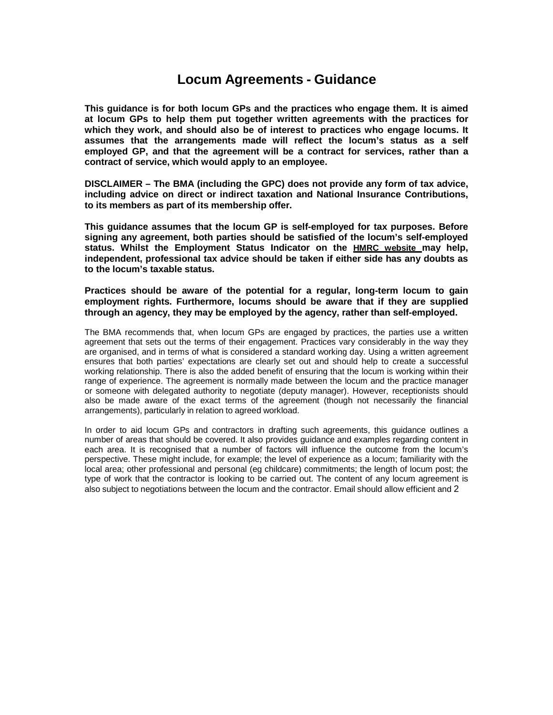# **Locum Agreements - Guidance**

**This guidance is for both locum GPs and the practices who engage them. It is aimed at locum GPs to help them put together written agreements with the practices for which they work, and should also be of interest to practices who engage locums. It assumes that the arrangements made will reflect the locum's status as a self employed GP, and that the agreement will be a contract for services, rather than a contract of service, which would apply to an employee.**

**DISCLAIMER – The BMA (including the GPC) does not provide any form of tax advice, including advice on direct or indirect taxation and National Insurance Contributions, to its members as part of its membership offer.**

**This guidance assumes that the locum GP is self-employed for tax purposes. Before signing any agreement, both parties should be satisfied of the locum's self-employed status. Whilst the Employment Status Indicator on the HMRC website may help, independent, professional tax advice should be taken if either side has any doubts as to the locum's taxable status.**

**Practices should be aware of the potential for a regular, long-term locum to gain employment rights. Furthermore, locums should be aware that if they are supplied through an agency, they may be employed by the agency, rather than self-employed.**

The BMA recommends that, when locum GPs are engaged by practices, the parties use a written agreement that sets out the terms of their engagement. Practices vary considerably in the way they are organised, and in terms of what is considered a standard working day. Using a written agreement ensures that both parties' expectations are clearly set out and should help to create a successful working relationship. There is also the added benefit of ensuring that the locum is working within their range of experience. The agreement is normally made between the locum and the practice manager or someone with delegated authority to negotiate (deputy manager). However, receptionists should also be made aware of the exact terms of the agreement (though not necessarily the financial arrangements), particularly in relation to agreed workload.

In order to aid locum GPs and contractors in drafting such agreements, this guidance outlines a number of areas that should be covered. It also provides guidance and examples regarding content in each area. It is recognised that a number of factors will influence the outcome from the locum's perspective. These might include, for example; the level of experience as a locum; familiarity with the local area; other professional and personal (eg childcare) commitments; the length of locum post; the type of work that the contractor is looking to be carried out. The content of any locum agreement is also subject to negotiations between the locum and the contractor. Email should allow efficient and 2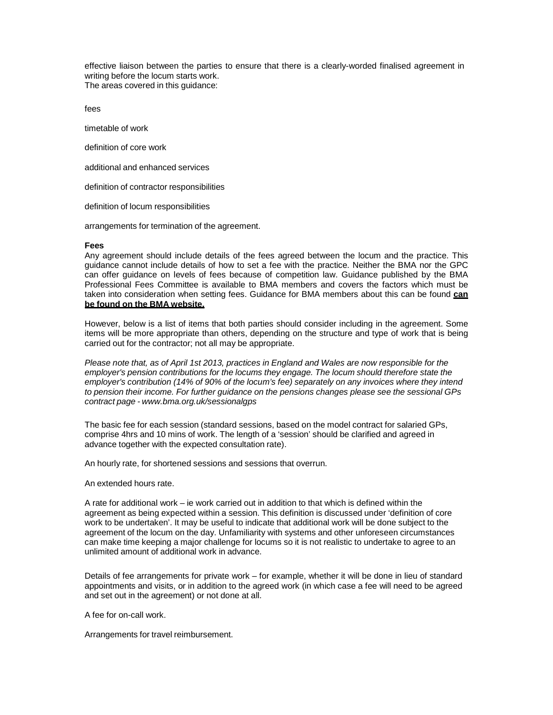effective liaison between the parties to ensure that there is a clearly-worded finalised agreement in writing before the locum starts work. The areas covered in this guidance:

fees

timetable of work

definition of core work

additional and enhanced services

definition of contractor responsibilities

definition of locum responsibilities

arrangements for termination of the agreement.

#### **Fees**

Any agreement should include details of the fees agreed between the locum and the practice. This guidance cannot include details of how to set a fee with the practice. Neither the BMA nor the GPC can offer guidance on levels of fees because of competition law. Guidance published by the BMA Professional Fees Committee is available to BMA members and covers the factors which must be taken into consideration when setting fees. Guidance for BMA members about this can be found **can be found on the BMA website.**

However, below is a list of items that both parties should consider including in the agreement. Some items will be more appropriate than others, depending on the structure and type of work that is being carried out for the contractor; not all may be appropriate.

*Please note that, as of April 1st 2013, practices in England and Wales are now responsible for the employer's pension contributions for the locums they engage. The locum should therefore state the employer's contribution (14% of 90% of the locum's fee) separately on any invoices where they intend to pension their income. For further guidance on the pensions changes please see the sessional GPs contract page - www.bma.org.uk/sessionalgps*

The basic fee for each session (standard sessions, based on the model contract for salaried GPs, comprise 4hrs and 10 mins of work. The length of a 'session' should be clarified and agreed in advance together with the expected consultation rate).

An hourly rate, for shortened sessions and sessions that overrun.

An extended hours rate.

A rate for additional work – ie work carried out in addition to that which is defined within the agreement as being expected within a session. This definition is discussed under 'definition of core work to be undertaken'. It may be useful to indicate that additional work will be done subject to the agreement of the locum on the day. Unfamiliarity with systems and other unforeseen circumstances can make time keeping a major challenge for locums so it is not realistic to undertake to agree to an unlimited amount of additional work in advance.

Details of fee arrangements for private work – for example, whether it will be done in lieu of standard appointments and visits, or in addition to the agreed work (in which case a fee will need to be agreed and set out in the agreement) or not done at all.

A fee for on-call work.

Arrangements for travel reimbursement.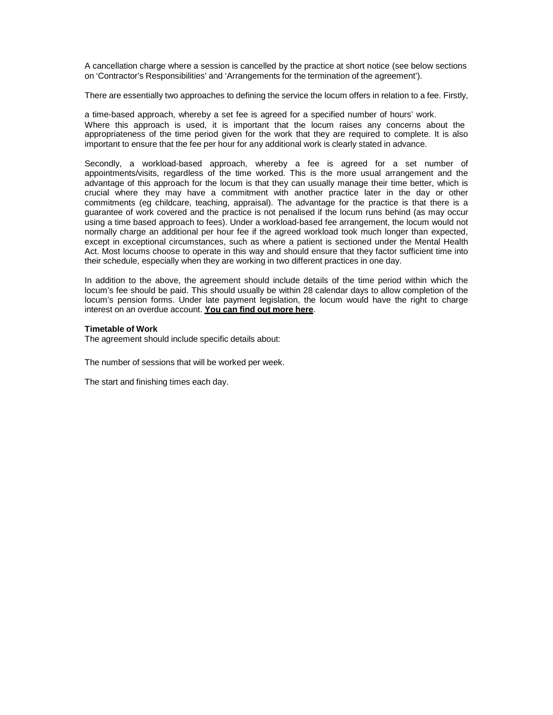A cancellation charge where a session is cancelled by the practice at short notice (see below sections on 'Contractor's Responsibilities' and 'Arrangements for the termination of the agreement').

There are essentially two approaches to defining the service the locum offers in relation to a fee. Firstly,

a time-based approach, whereby a set fee is agreed for a specified number of hours' work. Where this approach is used, it is important that the locum raises any concerns about the appropriateness of the time period given for the work that they are required to complete. It is also important to ensure that the fee per hour for any additional work is clearly stated in advance.

Secondly, a workload-based approach, whereby a fee is agreed for a set number of appointments/visits, regardless of the time worked. This is the more usual arrangement and the advantage of this approach for the locum is that they can usually manage their time better, which is crucial where they may have a commitment with another practice later in the day or other commitments (eg childcare, teaching, appraisal). The advantage for the practice is that there is a guarantee of work covered and the practice is not penalised if the locum runs behind (as may occur using a time based approach to fees). Under a workload-based fee arrangement, the locum would not normally charge an additional per hour fee if the agreed workload took much longer than expected, except in exceptional circumstances, such as where a patient is sectioned under the Mental Health Act. Most locums choose to operate in this way and should ensure that they factor sufficient time into their schedule, especially when they are working in two different practices in one day.

In addition to the above, the agreement should include details of the time period within which the locum's fee should be paid. This should usually be within 28 calendar days to allow completion of the locum's pension forms. Under late payment legislation, the locum would have the right to charge interest on an overdue account. **You can find out more here**.

## **Timetable of Work**

The agreement should include specific details about:

The number of sessions that will be worked per week.

The start and finishing times each day.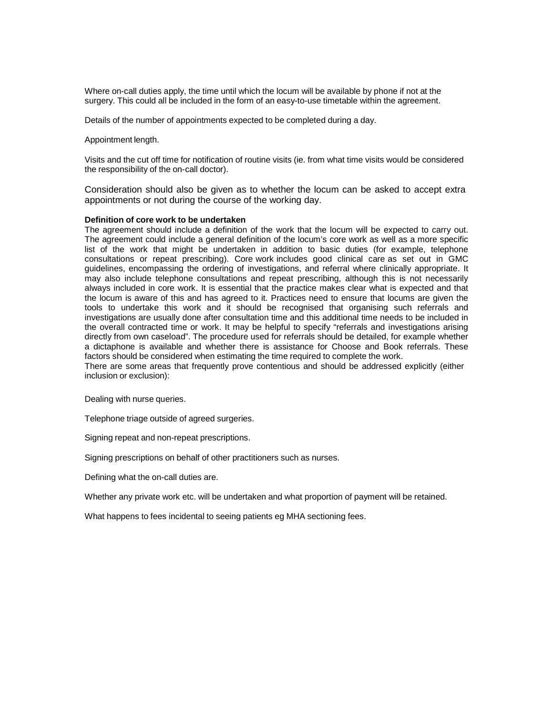Where on-call duties apply, the time until which the locum will be available by phone if not at the surgery. This could all be included in the form of an easy-to-use timetable within the agreement.

Details of the number of appointments expected to be completed during a day.

Appointment length.

Visits and the cut off time for notification of routine visits (ie. from what time visits would be considered the responsibility of the on-call doctor).

Consideration should also be given as to whether the locum can be asked to accept extra appointments or not during the course of the working day.

## **Definition of core work to be undertaken**

The agreement should include a definition of the work that the locum will be expected to carry out. The agreement could include a general definition of the locum's core work as well as a more specific list of the work that might be undertaken in addition to basic duties (for example, telephone consultations or repeat prescribing). Core work includes good clinical care as set out in GMC guidelines, encompassing the ordering of investigations, and referral where clinically appropriate. It may also include telephone consultations and repeat prescribing, although this is not necessarily always included in core work. It is essential that the practice makes clear what is expected and that the locum is aware of this and has agreed to it. Practices need to ensure that locums are given the tools to undertake this work and it should be recognised that organising such referrals and investigations are usually done after consultation time and this additional time needs to be included in the overall contracted time or work. It may be helpful to specify "referrals and investigations arising directly from own caseload". The procedure used for referrals should be detailed, for example whether a dictaphone is available and whether there is assistance for Choose and Book referrals. These factors should be considered when estimating the time required to complete the work.

There are some areas that frequently prove contentious and should be addressed explicitly (either inclusion or exclusion):

Dealing with nurse queries.

Telephone triage outside of agreed surgeries.

Signing repeat and non-repeat prescriptions.

Signing prescriptions on behalf of other practitioners such as nurses.

Defining what the on-call duties are.

Whether any private work etc. will be undertaken and what proportion of payment will be retained.

What happens to fees incidental to seeing patients eg MHA sectioning fees.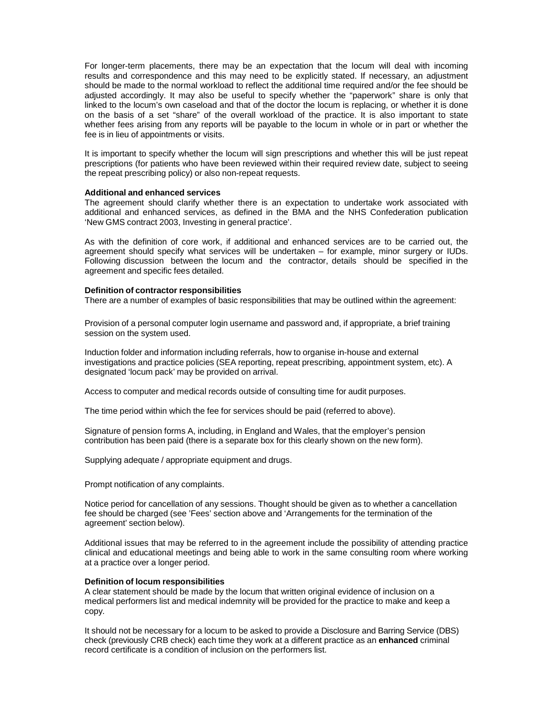For longer-term placements, there may be an expectation that the locum will deal with incoming results and correspondence and this may need to be explicitly stated. If necessary, an adjustment should be made to the normal workload to reflect the additional time required and/or the fee should be adjusted accordingly. It may also be useful to specify whether the "paperwork" share is only that linked to the locum's own caseload and that of the doctor the locum is replacing, or whether it is done on the basis of a set "share" of the overall workload of the practice. It is also important to state whether fees arising from any reports will be payable to the locum in whole or in part or whether the fee is in lieu of appointments or visits.

It is important to specify whether the locum will sign prescriptions and whether this will be just repeat prescriptions (for patients who have been reviewed within their required review date, subject to seeing the repeat prescribing policy) or also non-repeat requests.

#### **Additional and enhanced services**

The agreement should clarify whether there is an expectation to undertake work associated with additional and enhanced services, as defined in the BMA and the NHS Confederation publication 'New GMS contract 2003, Investing in general practice'.

As with the definition of core work, if additional and enhanced services are to be carried out, the agreement should specify what services will be undertaken – for example, minor surgery or IUDs. Following discussion between the locum and the contractor, details should be specified in the agreement and specific fees detailed.

## **Definition of contractor responsibilities**

There are a number of examples of basic responsibilities that may be outlined within the agreement:

Provision of a personal computer login username and password and, if appropriate, a brief training session on the system used.

Induction folder and information including referrals, how to organise in-house and external investigations and practice policies (SEA reporting, repeat prescribing, appointment system, etc). A designated 'locum pack' may be provided on arrival.

Access to computer and medical records outside of consulting time for audit purposes.

The time period within which the fee for services should be paid (referred to above).

Signature of pension forms A, including, in England and Wales, that the employer's pension contribution has been paid (there is a separate box for this clearly shown on the new form).

Supplying adequate / appropriate equipment and drugs.

Prompt notification of any complaints.

Notice period for cancellation of any sessions. Thought should be given as to whether a cancellation fee should be charged (see 'Fees' section above and 'Arrangements for the termination of the agreement' section below).

Additional issues that may be referred to in the agreement include the possibility of attending practice clinical and educational meetings and being able to work in the same consulting room where working at a practice over a longer period.

## **Definition of locum responsibilities**

A clear statement should be made by the locum that written original evidence of inclusion on a medical performers list and medical indemnity will be provided for the practice to make and keep a copy.

It should not be necessary for a locum to be asked to provide a Disclosure and Barring Service (DBS) check (previously CRB check) each time they work at a different practice as an **enhanced** criminal record certificate is a condition of inclusion on the performers list.